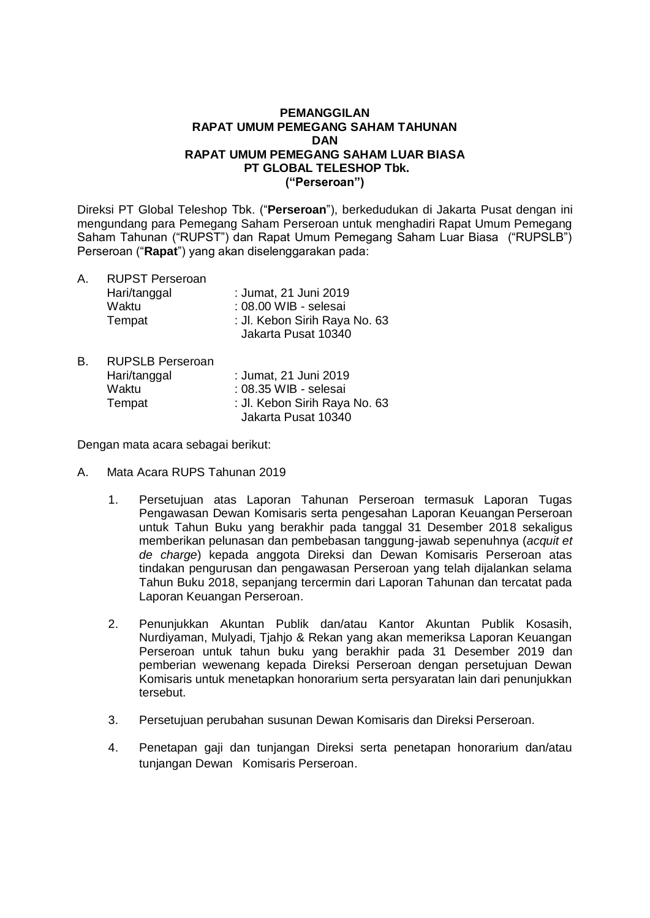### **PEMANGGILAN RAPAT UMUM PEMEGANG SAHAM TAHUNAN DAN RAPAT UMUM PEMEGANG SAHAM LUAR BIASA PT GLOBAL TELESHOP Tbk. ("Perseroan")**

Direksi PT Global Teleshop Tbk. ("**Perseroan**"), berkedudukan di Jakarta Pusat dengan ini mengundang para Pemegang Saham Perseroan untuk menghadiri Rapat Umum Pemegang Saham Tahunan ("RUPST") dan Rapat Umum Pemegang Saham Luar Biasa ("RUPSLB") Perseroan ("**Rapat**") yang akan diselenggarakan pada:

- A. RUPST Perseroan<br>Hari/tanggal : Jumat, 21 Juni 2019 Waktu : 08.00 WIB - selesai<br>Tempat : Jl. Kebon Sirih Raya : Jl. Kebon Sirih Raya No. 63 Jakarta Pusat 10340
- B. RUPSLB Perseroan Hari/tanggal : Jumat, 21 Juni 2019 Waktu : 08.35 WIB - selesai Tempat : Jl. Kebon Sirih Raya No. 63 Jakarta Pusat 10340

Dengan mata acara sebagai berikut:

- A. Mata Acara RUPS Tahunan 2019
	- 1. Persetujuan atas Laporan Tahunan Perseroan termasuk Laporan Tugas Pengawasan Dewan Komisaris serta pengesahan Laporan Keuangan Perseroan untuk Tahun Buku yang berakhir pada tanggal 31 Desember 2018 sekaligus memberikan pelunasan dan pembebasan tanggung-jawab sepenuhnya (*acquit et de charge*) kepada anggota Direksi dan Dewan Komisaris Perseroan atas tindakan pengurusan dan pengawasan Perseroan yang telah dijalankan selama Tahun Buku 2018, sepanjang tercermin dari Laporan Tahunan dan tercatat pada Laporan Keuangan Perseroan.
	- 2. Penunjukkan Akuntan Publik dan/atau Kantor Akuntan Publik Kosasih, Nurdiyaman, Mulyadi, Tjahjo & Rekan yang akan memeriksa Laporan Keuangan Perseroan untuk tahun buku yang berakhir pada 31 Desember 2019 dan pemberian wewenang kepada Direksi Perseroan dengan persetujuan Dewan Komisaris untuk menetapkan honorarium serta persyaratan lain dari penunjukkan tersebut.
	- 3. Persetujuan perubahan susunan Dewan Komisaris dan Direksi Perseroan.
	- 4. Penetapan gaji dan tunjangan Direksi serta penetapan honorarium dan/atau tunjangan Dewan Komisaris Perseroan.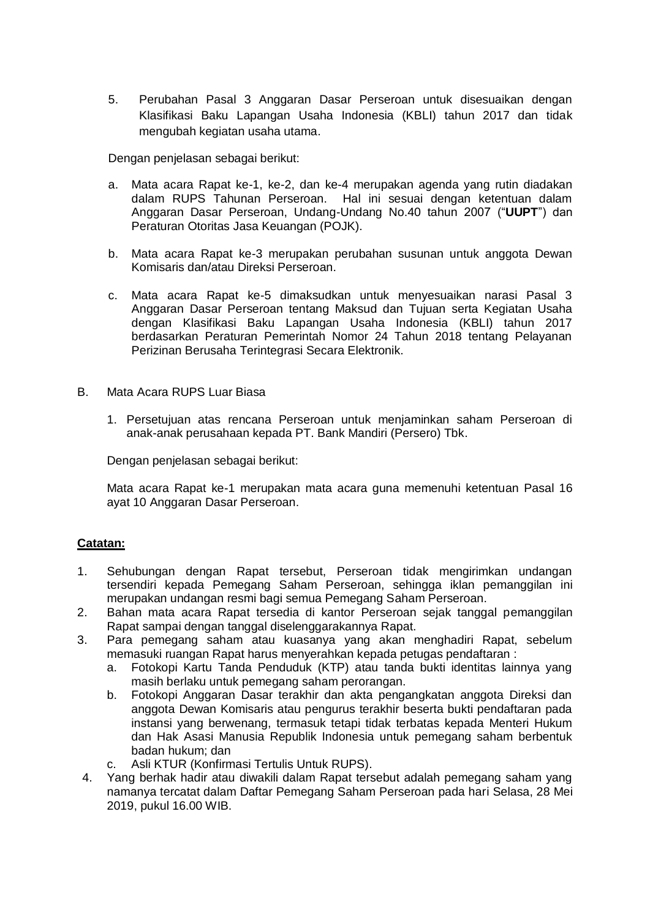5. Perubahan Pasal 3 Anggaran Dasar Perseroan untuk disesuaikan dengan Klasifikasi Baku Lapangan Usaha Indonesia (KBLI) tahun 2017 dan tidak mengubah kegiatan usaha utama.

Dengan penjelasan sebagai berikut:

- a. Mata acara Rapat ke-1, ke-2, dan ke-4 merupakan agenda yang rutin diadakan dalam RUPS Tahunan Perseroan. Hal ini sesuai dengan ketentuan dalam Anggaran Dasar Perseroan, Undang-Undang No.40 tahun 2007 ("**UUPT**") dan Peraturan Otoritas Jasa Keuangan (POJK).
- b. Mata acara Rapat ke-3 merupakan perubahan susunan untuk anggota Dewan Komisaris dan/atau Direksi Perseroan.
- c. Mata acara Rapat ke-5 dimaksudkan untuk menyesuaikan narasi Pasal 3 Anggaran Dasar Perseroan tentang Maksud dan Tujuan serta Kegiatan Usaha dengan Klasifikasi Baku Lapangan Usaha Indonesia (KBLI) tahun 2017 berdasarkan Peraturan Pemerintah Nomor 24 Tahun 2018 tentang Pelayanan Perizinan Berusaha Terintegrasi Secara Elektronik.
- B. Mata Acara RUPS Luar Biasa
	- 1. Persetujuan atas rencana Perseroan untuk menjaminkan saham Perseroan di anak-anak perusahaan kepada PT. Bank Mandiri (Persero) Tbk.

Dengan penjelasan sebagai berikut:

Mata acara Rapat ke-1 merupakan mata acara guna memenuhi ketentuan Pasal 16 ayat 10 Anggaran Dasar Perseroan.

## **Catatan:**

- 1. Sehubungan dengan Rapat tersebut, Perseroan tidak mengirimkan undangan tersendiri kepada Pemegang Saham Perseroan, sehingga iklan pemanggilan ini merupakan undangan resmi bagi semua Pemegang Saham Perseroan.
- 2. Bahan mata acara Rapat tersedia di kantor Perseroan sejak tanggal pemanggilan Rapat sampai dengan tanggal diselenggarakannya Rapat.
- 3. Para pemegang saham atau kuasanya yang akan menghadiri Rapat, sebelum memasuki ruangan Rapat harus menyerahkan kepada petugas pendaftaran :
	- a. Fotokopi Kartu Tanda Penduduk (KTP) atau tanda bukti identitas lainnya yang masih berlaku untuk pemegang saham perorangan.
	- b. Fotokopi Anggaran Dasar terakhir dan akta pengangkatan anggota Direksi dan anggota Dewan Komisaris atau pengurus terakhir beserta bukti pendaftaran pada instansi yang berwenang, termasuk tetapi tidak terbatas kepada Menteri Hukum dan Hak Asasi Manusia Republik Indonesia untuk pemegang saham berbentuk badan hukum; dan
	- c. Asli KTUR (Konfirmasi Tertulis Untuk RUPS).
- 4. Yang berhak hadir atau diwakili dalam Rapat tersebut adalah pemegang saham yang namanya tercatat dalam Daftar Pemegang Saham Perseroan pada hari Selasa, 28 Mei 2019, pukul 16.00 WIB.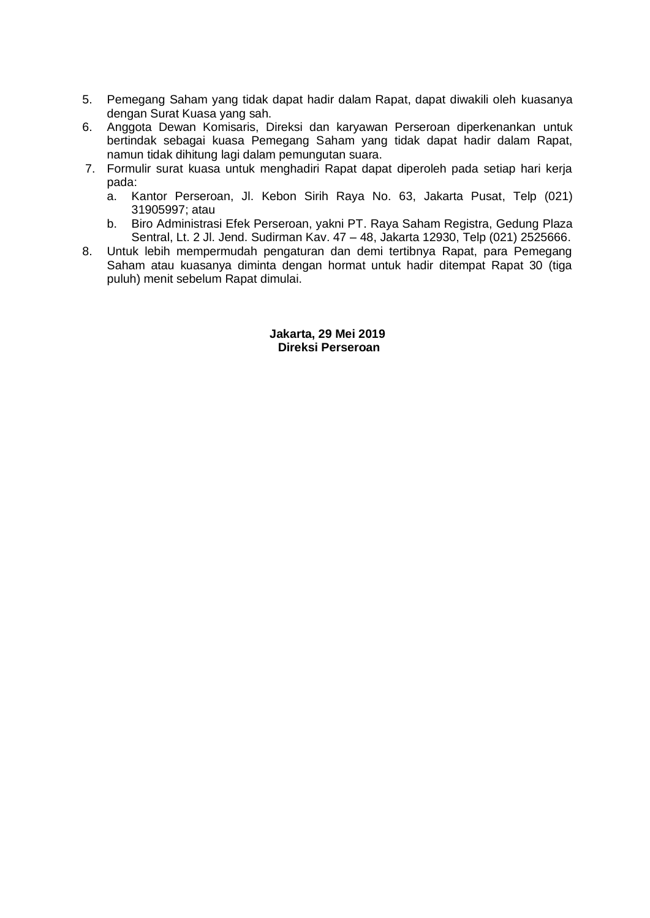- 5. Pemegang Saham yang tidak dapat hadir dalam Rapat, dapat diwakili oleh kuasanya dengan Surat Kuasa yang sah.
- 6. Anggota Dewan Komisaris, Direksi dan karyawan Perseroan diperkenankan untuk bertindak sebagai kuasa Pemegang Saham yang tidak dapat hadir dalam Rapat, namun tidak dihitung lagi dalam pemungutan suara.
- 7. Formulir surat kuasa untuk menghadiri Rapat dapat diperoleh pada setiap hari kerja pada:
	- a. Kantor Perseroan, Jl. Kebon Sirih Raya No. 63, Jakarta Pusat, Telp (021) 31905997; atau
	- b. Biro Administrasi Efek Perseroan, yakni PT. Raya Saham Registra, Gedung Plaza Sentral, Lt. 2 Jl. Jend. Sudirman Kav. 47 – 48, Jakarta 12930, Telp (021) 2525666.
- 8. Untuk lebih mempermudah pengaturan dan demi tertibnya Rapat, para Pemegang Saham atau kuasanya diminta dengan hormat untuk hadir ditempat Rapat 30 (tiga puluh) menit sebelum Rapat dimulai.

#### **Jakarta, 29 Mei 2019 Direksi Perseroan**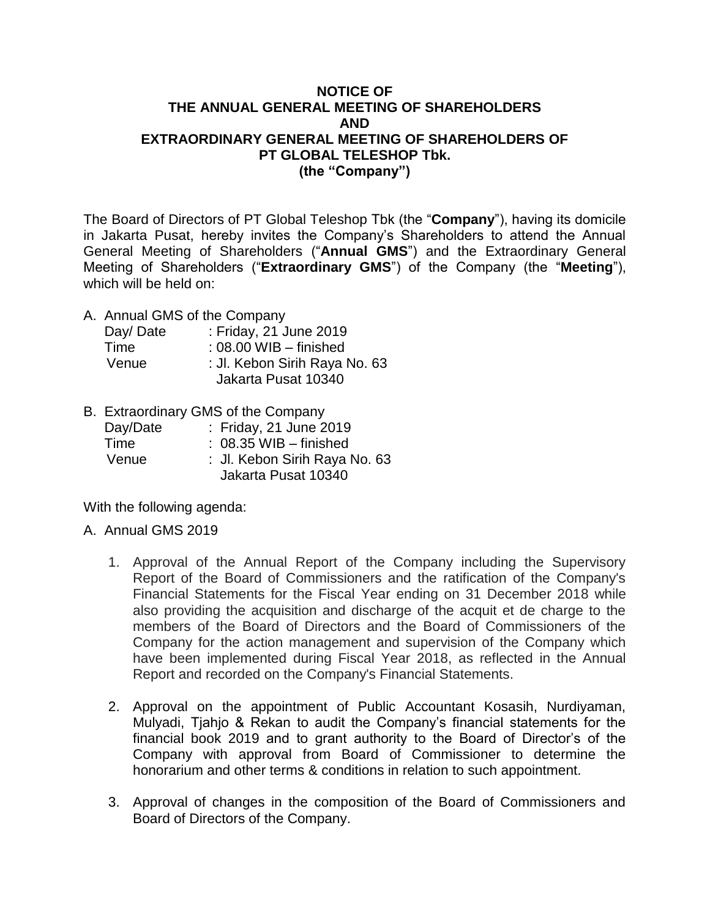# **NOTICE OF THE ANNUAL GENERAL MEETING OF SHAREHOLDERS AND EXTRAORDINARY GENERAL MEETING OF SHAREHOLDERS OF PT GLOBAL TELESHOP Tbk. (the "Company")**

The Board of Directors of PT Global Teleshop Tbk (the "**Company**"), having its domicile in Jakarta Pusat, hereby invites the Company's Shareholders to attend the Annual General Meeting of Shareholders ("**Annual GMS**") and the Extraordinary General Meeting of Shareholders ("**Extraordinary GMS**") of the Company (the "**Meeting**"), which will be held on:

A. Annual GMS of the Company

| Day/Date | : Friday, 21 June 2019        |
|----------|-------------------------------|
| Time     | $: 08.00$ WIB $-$ finished    |
| Venue    | : Jl. Kebon Sirih Raya No. 63 |
|          | Jakarta Pusat 10340           |

B. Extraordinary GMS of the Company

| Day/Date | : Friday, 21 June 2019        |
|----------|-------------------------------|
| Time     | $: 08.35$ WIB $-$ finished    |
| Venue    | : Jl. Kebon Sirih Raya No. 63 |
|          | Jakarta Pusat 10340           |

With the following agenda:

- A. Annual GMS 2019
	- 1. Approval of the Annual Report of the Company including the Supervisory Report of the Board of Commissioners and the ratification of the Company's Financial Statements for the Fiscal Year ending on 31 December 2018 while also providing the acquisition and discharge of the acquit et de charge to the members of the Board of Directors and the Board of Commissioners of the Company for the action management and supervision of the Company which have been implemented during Fiscal Year 2018, as reflected in the Annual Report and recorded on the Company's Financial Statements.
	- 2. Approval on the appointment of Public Accountant Kosasih, Nurdiyaman, Mulyadi, Tjahjo & Rekan to audit the Company's financial statements for the financial book 2019 and to grant authority to the Board of Director's of the Company with approval from Board of Commissioner to determine the honorarium and other terms & conditions in relation to such appointment.
	- 3. Approval of changes in the composition of the Board of Commissioners and Board of Directors of the Company.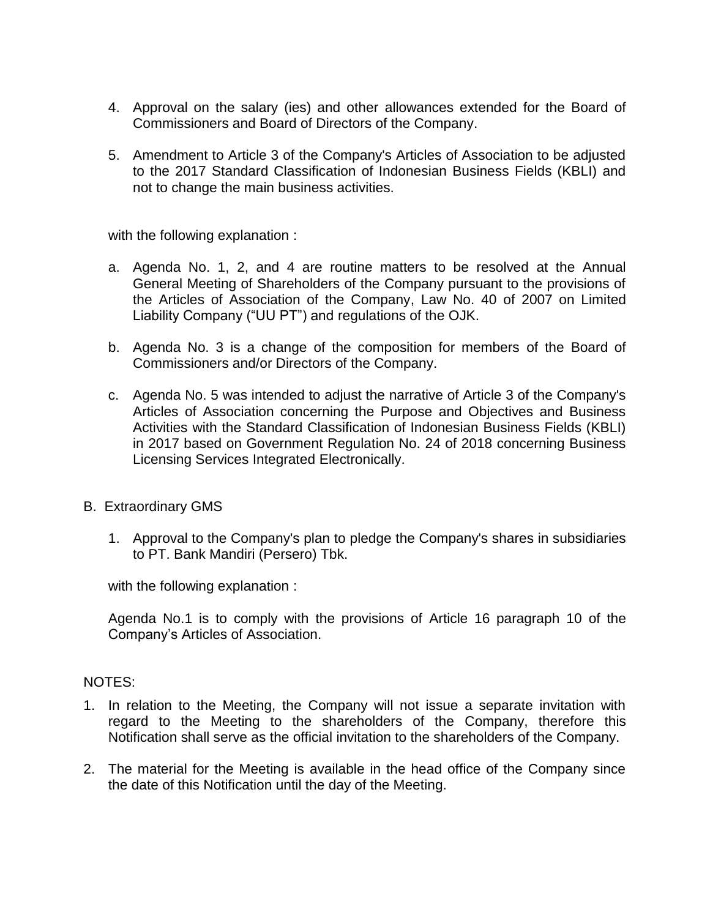- 4. Approval on the salary (ies) and other allowances extended for the Board of Commissioners and Board of Directors of the Company.
- 5. Amendment to Article 3 of the Company's Articles of Association to be adjusted to the 2017 Standard Classification of Indonesian Business Fields (KBLI) and not to change the main business activities.

with the following explanation :

- a. Agenda No. 1, 2, and 4 are routine matters to be resolved at the Annual General Meeting of Shareholders of the Company pursuant to the provisions of the Articles of Association of the Company, Law No. 40 of 2007 on Limited Liability Company ("UU PT") and regulations of the OJK.
- b. Agenda No. 3 is a change of the composition for members of the Board of Commissioners and/or Directors of the Company.
- c. Agenda No. 5 was intended to adjust the narrative of Article 3 of the Company's Articles of Association concerning the Purpose and Objectives and Business Activities with the Standard Classification of Indonesian Business Fields (KBLI) in 2017 based on Government Regulation No. 24 of 2018 concerning Business Licensing Services Integrated Electronically.
- B. Extraordinary GMS
	- 1. Approval to the Company's plan to pledge the Company's shares in subsidiaries to PT. Bank Mandiri (Persero) Tbk.

with the following explanation :

Agenda No.1 is to comply with the provisions of Article 16 paragraph 10 of the Company's Articles of Association.

## NOTES:

- 1. In relation to the Meeting, the Company will not issue a separate invitation with regard to the Meeting to the shareholders of the Company, therefore this Notification shall serve as the official invitation to the shareholders of the Company.
- 2. The material for the Meeting is available in the head office of the Company since the date of this Notification until the day of the Meeting.